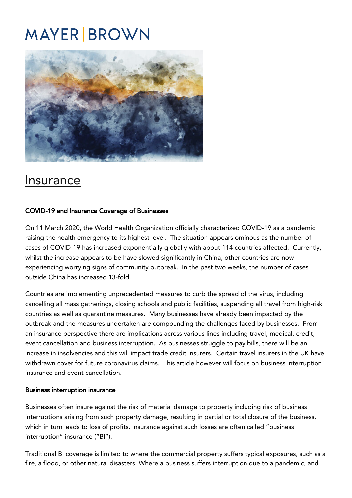# **MAYER BROWN**



## [Insurance](https://covid19.mayerbrown.com/insurance-2/)

#### COVID-19 and Insurance Coverage of Businesses

On 11 March 2020, the World Health Organization officially characterized COVID-19 as a pandemic raising the health emergency to its highest level. The situation appears ominous as the number of cases of COVID-19 has increased exponentially globally with about 114 countries affected. Currently, whilst the increase appears to be have slowed significantly in China, other countries are now experiencing worrying signs of community outbreak. In the past two weeks, the number of cases outside China has increased 13-fold.

Countries are implementing unprecedented measures to curb the spread of the virus, including cancelling all mass gatherings, closing schools and public facilities, suspending all travel from high-risk countries as well as quarantine measures. Many businesses have already been impacted by the outbreak and the measures undertaken are compounding the challenges faced by businesses. From an insurance perspective there are implications across various lines including travel, medical, credit, event cancellation and business interruption. As businesses struggle to pay bills, there will be an increase in insolvencies and this will impact trade credit insurers. Certain travel insurers in the UK have withdrawn cover for future coronavirus claims. This article however will focus on business interruption insurance and event cancellation.

#### Business interruption insurance

Businesses often insure against the risk of material damage to property including risk of business interruptions arising from such property damage, resulting in partial or total closure of the business, which in turn leads to loss of profits. Insurance against such losses are often called "business interruption" insurance ("BI").

Traditional BI coverage is limited to where the commercial property suffers typical exposures, such as a fire, a flood, or other natural disasters. Where a business suffers interruption due to a pandemic, and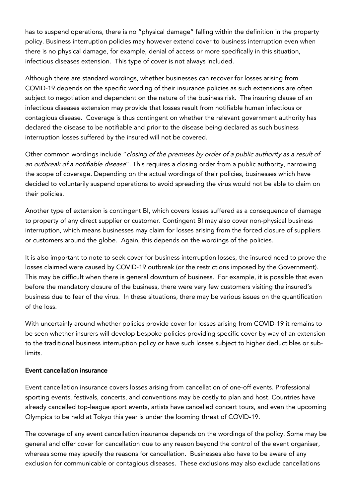has to suspend operations, there is no "physical damage" falling within the definition in the property policy. Business interruption policies may however extend cover to business interruption even when there is no physical damage, for example, denial of access or more specifically in this situation, infectious diseases extension. This type of cover is not always included.

Although there are standard wordings, whether businesses can recover for losses arising from COVID-19 depends on the specific wording of their insurance policies as such extensions are often subject to negotiation and dependent on the nature of the business risk. The insuring clause of an infectious diseases extension may provide that losses result from notifiable human infectious or contagious disease. Coverage is thus contingent on whether the relevant government authority has declared the disease to be notifiable and prior to the disease being declared as such business interruption losses suffered by the insured will not be covered.

Other common wordings include "closing of the premises by order of a public authority as a result of an outbreak of a notifiable disease". This requires a closing order from a public authority, narrowing the scope of coverage. Depending on the actual wordings of their policies, businesses which have decided to voluntarily suspend operations to avoid spreading the virus would not be able to claim on their policies.

Another type of extension is contingent BI, which covers losses suffered as a consequence of damage to property of any direct supplier or customer. Contingent BI may also cover non-physical business interruption, which means businesses may claim for losses arising from the forced closure of suppliers or customers around the globe. Again, this depends on the wordings of the policies.

It is also important to note to seek cover for business interruption losses, the insured need to prove the losses claimed were caused by COVID-19 outbreak (or the restrictions imposed by the Government). This may be difficult when there is general downturn of business. For example, it is possible that even before the mandatory closure of the business, there were very few customers visiting the insured's business due to fear of the virus. In these situations, there may be various issues on the quantification of the loss.

With uncertainly around whether policies provide cover for losses arising from COVID-19 it remains to be seen whether insurers will develop bespoke policies providing specific cover by way of an extension to the traditional business interruption policy or have such losses subject to higher deductibles or sublimits.

#### Event cancellation insurance

Event cancellation insurance covers losses arising from cancellation of one-off events. Professional sporting events, festivals, concerts, and conventions may be costly to plan and host. Countries have already cancelled top-league sport events, artists have cancelled concert tours, and even the upcoming Olympics to be held at Tokyo this year is under the looming threat of COVID-19.

The coverage of any event cancellation insurance depends on the wordings of the policy. Some may be general and offer cover for cancellation due to any reason beyond the control of the event organiser, whereas some may specify the reasons for cancellation. Businesses also have to be aware of any exclusion for communicable or contagious diseases. These exclusions may also exclude cancellations